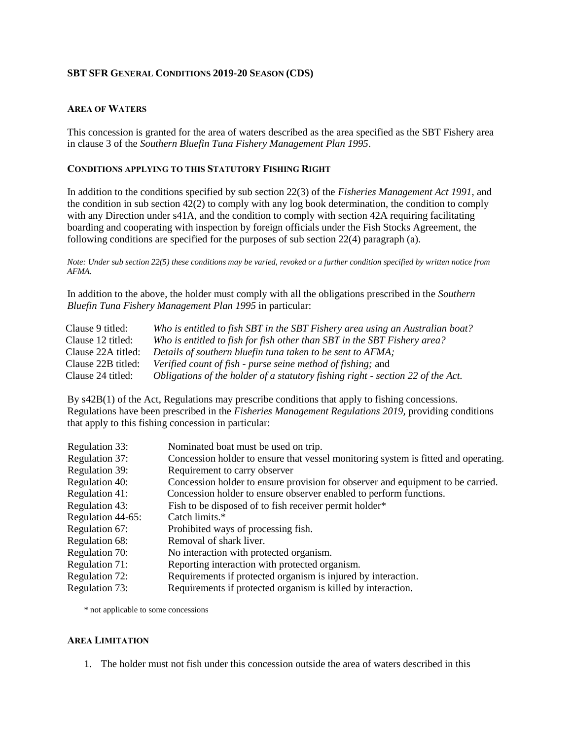#### **SBT SFR GENERAL CONDITIONS 2019-20 SEASON (CDS)**

### **AREA OF WATERS**

This concession is granted for the area of waters described as the area specified as the SBT Fishery area in clause 3 of the *Southern Bluefin Tuna Fishery Management Plan 1995*.

### **CONDITIONS APPLYING TO THIS STATUTORY FISHING RIGHT**

In addition to the conditions specified by sub section 22(3) of the *Fisheries Management Act 1991,* and the condition in sub section 42(2) to comply with any log book determination, the condition to comply with any Direction under s41A, and the condition to comply with section 42A requiring facilitating boarding and cooperating with inspection by foreign officials under the Fish Stocks Agreement, the following conditions are specified for the purposes of sub section 22(4) paragraph (a).

*Note: Under sub section 22(5) these conditions may be varied, revoked or a further condition specified by written notice from AFMA.*

In addition to the above, the holder must comply with all the obligations prescribed in the *Southern Bluefin Tuna Fishery Management Plan 1995* in particular:

| Clause 9 titled:   | Who is entitled to fish SBT in the SBT Fishery area using an Australian boat?   |
|--------------------|---------------------------------------------------------------------------------|
| Clause 12 titled:  | Who is entitled to fish for fish other than SBT in the SBT Fishery area?        |
| Clause 22A titled: | Details of southern bluefin tuna taken to be sent to AFMA;                      |
| Clause 22B titled: | Verified count of fish - purse seine method of fishing; and                     |
| Clause 24 titled:  | Obligations of the holder of a statutory fishing right - section 22 of the Act. |

By s42B(1) of the Act, Regulations may prescribe conditions that apply to fishing concessions. Regulations have been prescribed in the *Fisheries Management Regulations 2019,* providing conditions that apply to this fishing concession in particular:

| Regulation 33:    | Nominated boat must be used on trip.                                               |
|-------------------|------------------------------------------------------------------------------------|
| Regulation 37:    | Concession holder to ensure that vessel monitoring system is fitted and operating. |
| Regulation 39:    | Requirement to carry observer                                                      |
| Regulation 40:    | Concession holder to ensure provision for observer and equipment to be carried.    |
| Regulation 41:    | Concession holder to ensure observer enabled to perform functions.                 |
| Regulation 43:    | Fish to be disposed of to fish receiver permit holder*                             |
| Regulation 44-65: | Catch limits.*                                                                     |
| Regulation 67:    | Prohibited ways of processing fish.                                                |
| Regulation 68:    | Removal of shark liver.                                                            |
| Regulation 70:    | No interaction with protected organism.                                            |
| Regulation 71:    | Reporting interaction with protected organism.                                     |
| Regulation 72:    | Requirements if protected organism is injured by interaction.                      |
| Regulation 73:    | Requirements if protected organism is killed by interaction.                       |

\* not applicable to some concessions

#### **AREA LIMITATION**

1. The holder must not fish under this concession outside the area of waters described in this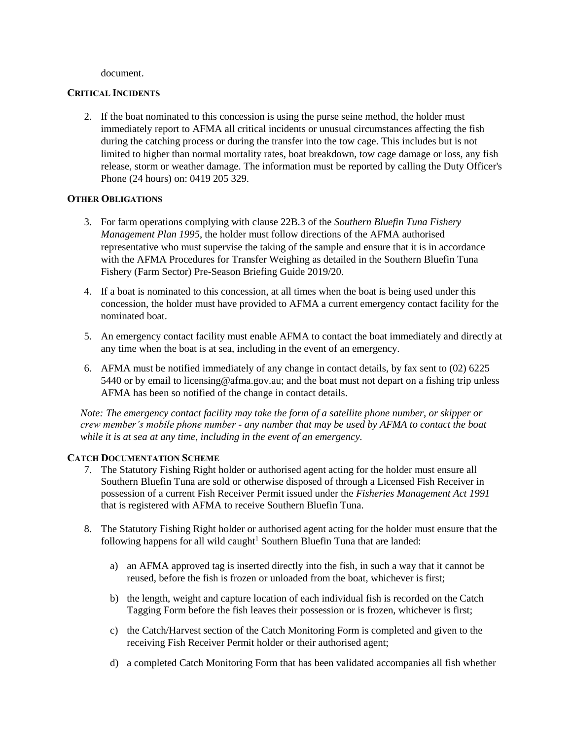#### document.

### **CRITICAL INCIDENTS**

2. If the boat nominated to this concession is using the purse seine method, the holder must immediately report to AFMA all critical incidents or unusual circumstances affecting the fish during the catching process or during the transfer into the tow cage. This includes but is not limited to higher than normal mortality rates, boat breakdown, tow cage damage or loss, any fish release, storm or weather damage. The information must be reported by calling the Duty Officer's Phone (24 hours) on: 0419 205 329.

## **OTHER OBLIGATIONS**

- 3. For farm operations complying with clause 22B.3 of the *Southern Bluefin Tuna Fishery Management Plan 1995*, the holder must follow directions of the AFMA authorised representative who must supervise the taking of the sample and ensure that it is in accordance with the AFMA Procedures for Transfer Weighing as detailed in the Southern Bluefin Tuna Fishery (Farm Sector) Pre-Season Briefing Guide 2019/20.
- 4. If a boat is nominated to this concession, at all times when the boat is being used under this concession, the holder must have provided to AFMA a current emergency contact facility for the nominated boat.
- 5. An emergency contact facility must enable AFMA to contact the boat immediately and directly at any time when the boat is at sea, including in the event of an emergency.
- 6. AFMA must be notified immediately of any change in contact details, by fax sent to (02) 6225 5440 or by email to licensing @afma.gov.au; and the boat must not depart on a fishing trip unless AFMA has been so notified of the change in contact details.

*Note: The emergency contact facility may take the form of a satellite phone number, or skipper or crew member's mobile phone number - any number that may be used by AFMA to contact the boat while it is at sea at any time, including in the event of an emergency.* 

## **CATCH DOCUMENTATION SCHEME**

- 7. The Statutory Fishing Right holder or authorised agent acting for the holder must ensure all Southern Bluefin Tuna are sold or otherwise disposed of through a Licensed Fish Receiver in possession of a current Fish Receiver Permit issued under the *Fisheries Management Act 1991*  that is registered with AFMA to receive Southern Bluefin Tuna.
- 8. The Statutory Fishing Right holder or authorised agent acting for the holder must ensure that the following happens for all wild caught<sup>1</sup> Southern Bluefin Tuna that are landed:
	- a) an AFMA approved tag is inserted directly into the fish, in such a way that it cannot be reused, before the fish is frozen or unloaded from the boat, whichever is first;
	- b) the length, weight and capture location of each individual fish is recorded on the Catch Tagging Form before the fish leaves their possession or is frozen, whichever is first;
	- c) the Catch/Harvest section of the Catch Monitoring Form is completed and given to the receiving Fish Receiver Permit holder or their authorised agent;
	- d) a completed Catch Monitoring Form that has been validated accompanies all fish whether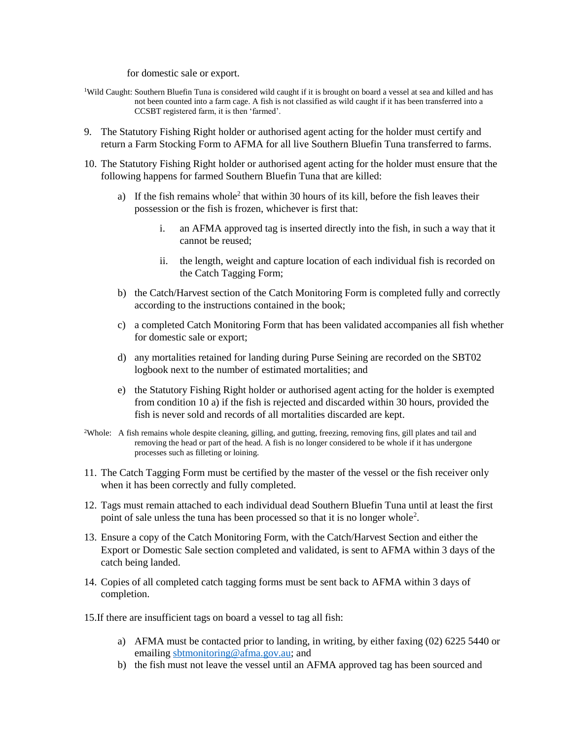for domestic sale or export.

- <sup>1</sup>Wild Caught: Southern Bluefin Tuna is considered wild caught if it is brought on board a vessel at sea and killed and has not been counted into a farm cage. A fish is not classified as wild caught if it has been transferred into a CCSBT registered farm, it is then 'farmed'.
- 9. The Statutory Fishing Right holder or authorised agent acting for the holder must certify and return a Farm Stocking Form to AFMA for all live Southern Bluefin Tuna transferred to farms.
- 10. The Statutory Fishing Right holder or authorised agent acting for the holder must ensure that the following happens for farmed Southern Bluefin Tuna that are killed:
	- a) If the fish remains whole<sup>2</sup> that within 30 hours of its kill, before the fish leaves their possession or the fish is frozen, whichever is first that:
		- i. an AFMA approved tag is inserted directly into the fish, in such a way that it cannot be reused;
		- ii. the length, weight and capture location of each individual fish is recorded on the Catch Tagging Form;
	- b) the Catch/Harvest section of the Catch Monitoring Form is completed fully and correctly according to the instructions contained in the book;
	- c) a completed Catch Monitoring Form that has been validated accompanies all fish whether for domestic sale or export;
	- d) any mortalities retained for landing during Purse Seining are recorded on the SBT02 logbook next to the number of estimated mortalities; and
	- e) the Statutory Fishing Right holder or authorised agent acting for the holder is exempted from condition 10 a) if the fish is rejected and discarded within 30 hours, provided the fish is never sold and records of all mortalities discarded are kept.
- <sup>2</sup>Whole: A fish remains whole despite cleaning, gilling, and gutting, freezing, removing fins, gill plates and tail and removing the head or part of the head. A fish is no longer considered to be whole if it has undergone processes such as filleting or loining.
- 11. The Catch Tagging Form must be certified by the master of the vessel or the fish receiver only when it has been correctly and fully completed.
- 12. Tags must remain attached to each individual dead Southern Bluefin Tuna until at least the first point of sale unless the tuna has been processed so that it is no longer whole<sup>2</sup>.
- 13. Ensure a copy of the Catch Monitoring Form, with the Catch/Harvest Section and either the Export or Domestic Sale section completed and validated, is sent to AFMA within 3 days of the catch being landed.
- 14. Copies of all completed catch tagging forms must be sent back to AFMA within 3 days of completion.
- 15.If there are insufficient tags on board a vessel to tag all fish:
	- a) AFMA must be contacted prior to landing, in writing, by either faxing (02) 6225 5440 or emailing sbtmonitoring@afma.gov.au; and
	- b) the fish must not leave the vessel until an AFMA approved tag has been sourced and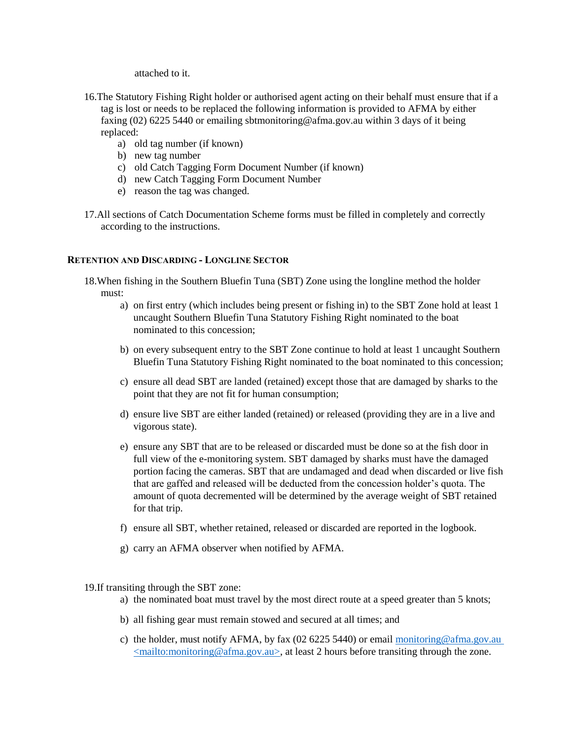attached to it.

- 16.The Statutory Fishing Right holder or authorised agent acting on their behalf must ensure that if a tag is lost or needs to be replaced the following information is provided to AFMA by either faxing (02) 6225 5440 or emailing sbtmonitoring@afma.gov.au within 3 days of it being replaced:
	- a) old tag number (if known)
	- b) new tag number
	- c) old Catch Tagging Form Document Number (if known)
	- d) new Catch Tagging Form Document Number
	- e) reason the tag was changed.
- 17.All sections of Catch Documentation Scheme forms must be filled in completely and correctly according to the instructions.

## **RETENTION AND DISCARDING - LONGLINE SECTOR**

- 18.When fishing in the Southern Bluefin Tuna (SBT) Zone using the longline method the holder must:
	- a) on first entry (which includes being present or fishing in) to the SBT Zone hold at least 1 uncaught Southern Bluefin Tuna Statutory Fishing Right nominated to the boat nominated to this concession;
	- b) on every subsequent entry to the SBT Zone continue to hold at least 1 uncaught Southern Bluefin Tuna Statutory Fishing Right nominated to the boat nominated to this concession;
	- c) ensure all dead SBT are landed (retained) except those that are damaged by sharks to the point that they are not fit for human consumption;
	- d) ensure live SBT are either landed (retained) or released (providing they are in a live and vigorous state).
	- e) ensure any SBT that are to be released or discarded must be done so at the fish door in full view of the e-monitoring system. SBT damaged by sharks must have the damaged portion facing the cameras. SBT that are undamaged and dead when discarded or live fish that are gaffed and released will be deducted from the concession holder's quota. The amount of quota decremented will be determined by the average weight of SBT retained for that trip.
	- f) ensure all SBT, whether retained, released or discarded are reported in the logbook.
	- g) carry an AFMA observer when notified by AFMA.

19.If transiting through the SBT zone:

- a) the nominated boat must travel by the most direct route at a speed greater than 5 knots;
- b) all fishing gear must remain stowed and secured at all times; and
- c) the holder, must notify AFMA, by fax (02 6225 5440) or email monitoring @afma.gov.au  $\leq$ mailto:monitoring@afma.gov.au>, at least 2 hours before transiting through the zone.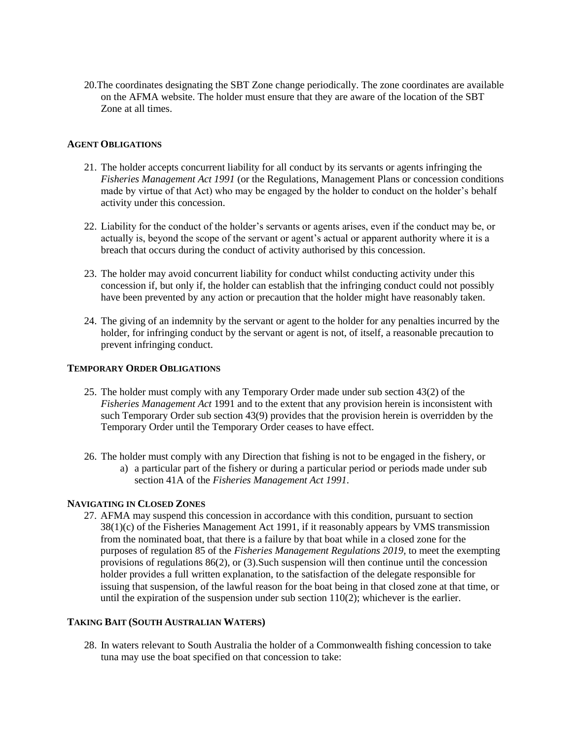20.The coordinates designating the SBT Zone change periodically. The zone coordinates are available on the AFMA website. The holder must ensure that they are aware of the location of the SBT Zone at all times.

### **AGENT OBLIGATIONS**

- 21. The holder accepts concurrent liability for all conduct by its servants or agents infringing the *Fisheries Management Act 1991* (or the Regulations, Management Plans or concession conditions made by virtue of that Act) who may be engaged by the holder to conduct on the holder's behalf activity under this concession.
- 22. Liability for the conduct of the holder's servants or agents arises, even if the conduct may be, or actually is, beyond the scope of the servant or agent's actual or apparent authority where it is a breach that occurs during the conduct of activity authorised by this concession.
- 23. The holder may avoid concurrent liability for conduct whilst conducting activity under this concession if, but only if, the holder can establish that the infringing conduct could not possibly have been prevented by any action or precaution that the holder might have reasonably taken.
- 24. The giving of an indemnity by the servant or agent to the holder for any penalties incurred by the holder, for infringing conduct by the servant or agent is not, of itself, a reasonable precaution to prevent infringing conduct.

#### **TEMPORARY ORDER OBLIGATIONS**

- 25. The holder must comply with any Temporary Order made under sub section 43(2) of the *Fisheries Management Act* 1991 and to the extent that any provision herein is inconsistent with such Temporary Order sub section 43(9) provides that the provision herein is overridden by the Temporary Order until the Temporary Order ceases to have effect.
- 26. The holder must comply with any Direction that fishing is not to be engaged in the fishery, or
	- a) a particular part of the fishery or during a particular period or periods made under sub section 41A of the *Fisheries Management Act 1991*.

## **NAVIGATING IN CLOSED ZONES**

27. AFMA may suspend this concession in accordance with this condition, pursuant to section 38(1)(c) of the Fisheries Management Act 1991, if it reasonably appears by VMS transmission from the nominated boat, that there is a failure by that boat while in a closed zone for the purposes of regulation 85 of the *Fisheries Management Regulations 2019,* to meet the exempting provisions of regulations 86(2), or (3).Such suspension will then continue until the concession holder provides a full written explanation, to the satisfaction of the delegate responsible for issuing that suspension, of the lawful reason for the boat being in that closed zone at that time, or until the expiration of the suspension under sub section  $110(2)$ ; whichever is the earlier.

## **TAKING BAIT (SOUTH AUSTRALIAN WATERS)**

28. In waters relevant to South Australia the holder of a Commonwealth fishing concession to take tuna may use the boat specified on that concession to take: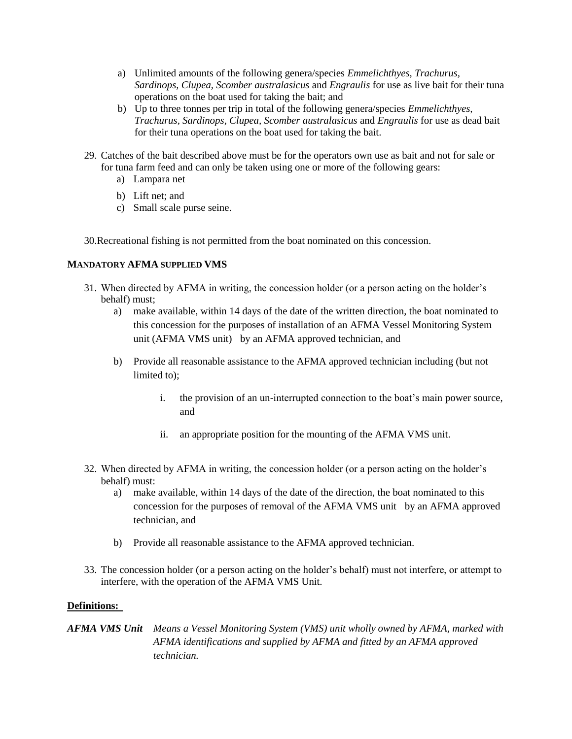- a) Unlimited amounts of the following genera/species *Emmelichthyes, Trachurus, Sardinops, Clupea, Scomber australasicus* and *Engraulis* for use as live bait for their tuna operations on the boat used for taking the bait; and
- b) Up to three tonnes per trip in total of the following genera/species *Emmelichthyes, Trachurus, Sardinops, Clupea, Scomber australasicus* and *Engraulis* for use as dead bait for their tuna operations on the boat used for taking the bait.
- 29. Catches of the bait described above must be for the operators own use as bait and not for sale or for tuna farm feed and can only be taken using one or more of the following gears:
	- a) Lampara net
	- b) Lift net; and
	- c) Small scale purse seine.

30.Recreational fishing is not permitted from the boat nominated on this concession.

## **MANDATORY AFMA SUPPLIED VMS**

- 31. When directed by AFMA in writing, the concession holder (or a person acting on the holder's behalf) must;
	- a) make available, within 14 days of the date of the written direction, the boat nominated to this concession for the purposes of installation of an AFMA Vessel Monitoring System unit (AFMA VMS unit) by an AFMA approved technician, and
	- b) Provide all reasonable assistance to the AFMA approved technician including (but not limited to);
		- i. the provision of an un-interrupted connection to the boat's main power source, and
		- ii. an appropriate position for the mounting of the AFMA VMS unit.
- 32. When directed by AFMA in writing, the concession holder (or a person acting on the holder's behalf) must:
	- a) make available, within 14 days of the date of the direction, the boat nominated to this concession for the purposes of removal of the AFMA VMS unit by an AFMA approved technician, and
	- b) Provide all reasonable assistance to the AFMA approved technician.
- 33. The concession holder (or a person acting on the holder's behalf) must not interfere, or attempt to interfere, with the operation of the AFMA VMS Unit.

# **Definitions:**

*AFMA VMS Unit Means a Vessel Monitoring System (VMS) unit wholly owned by AFMA, marked with AFMA identifications and supplied by AFMA and fitted by an AFMA approved technician.*